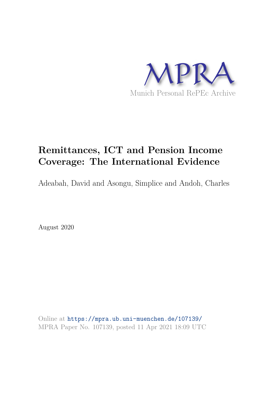

# **Remittances, ICT and Pension Income Coverage: The International Evidence**

Adeabah, David and Asongu, Simplice and Andoh, Charles

August 2020

Online at https://mpra.ub.uni-muenchen.de/107139/ MPRA Paper No. 107139, posted 11 Apr 2021 18:09 UTC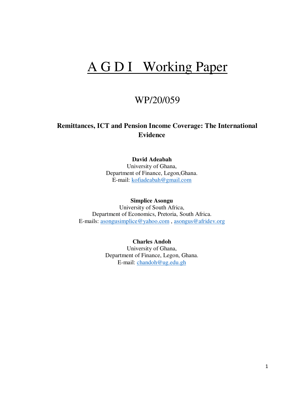# A G D I Working Paper

# WP/20/059

## **Remittances, ICT and Pension Income Coverage: The International Evidence**

#### **David Adeabah**

University of Ghana, Department of Finance, Legon,Ghana. E-mail: [kofiadeabah@gmail.com](mailto:kofiadeabah@gmail.com)

#### **Simplice Asongu**

University of South Africa, Department of Economics, Pretoria, South Africa. E-mails: [asongusimplice@yahoo.com](mailto:asongusimplice@yahoo.com) , [asongus@afridev.org](mailto:asongus@afridev.org)

> **Charles Andoh** University of Ghana, Department of Finance, Legon, Ghana. E-mail: [chandoh@ug.edu.gh](mailto:chandoh@ug.edu.gh)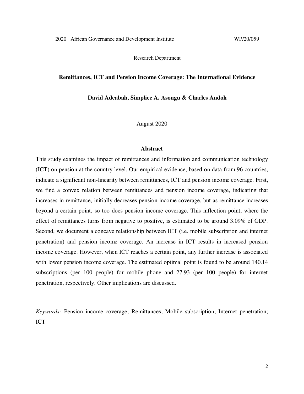Research Department

#### **Remittances, ICT and Pension Income Coverage: The International Evidence**

**David Adeabah, Simplice A. Asongu & Charles Andoh**

August 2020

#### **Abstract**

This study examines the impact of remittances and information and communication technology (ICT) on pension at the country level. Our empirical evidence, based on data from 96 countries, indicate a significant non-linearity between remittances, ICT and pension income coverage. First, we find a convex relation between remittances and pension income coverage, indicating that increases in remittance, initially decreases pension income coverage, but as remittance increases beyond a certain point, so too does pension income coverage. This inflection point, where the effect of remittances turns from negative to positive, is estimated to be around 3.09% of GDP. Second, we document a concave relationship between ICT (i.e. mobile subscription and internet penetration) and pension income coverage. An increase in ICT results in increased pension income coverage. However, when ICT reaches a certain point, any further increase is associated with lower pension income coverage. The estimated optimal point is found to be around 140.14 subscriptions (per 100 people) for mobile phone and 27.93 (per 100 people) for internet penetration, respectively. Other implications are discussed.

*Keywords:* Pension income coverage; Remittances; Mobile subscription; Internet penetration; ICT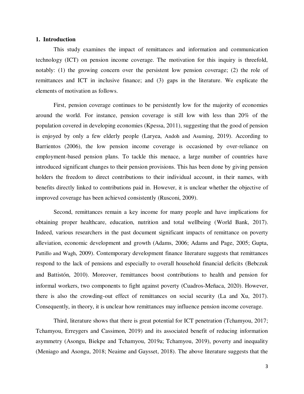#### **1. Introduction**

This study examines the impact of remittances and information and communication technology (ICT) on pension income coverage. The motivation for this inquiry is threefold, notably: (1) the growing concern over the persistent low pension coverage; (2) the role of remittances and ICT in inclusive finance; and (3) gaps in the literature. We explicate the elements of motivation as follows.

First, pension coverage continues to be persistently low for the majority of economies around the world. For instance, pension coverage is still low with less than 20% of the population covered in developing economies (Kpessa, 2011), suggesting that the good of pension is enjoyed by only a few elderly people (Laryea, Andoh and Asuming, 2019). According to Barrientos (2006), the low pension income coverage is occasioned by over-reliance on employment-based pension plans. To tackle this menace, a large number of countries have introduced significant changes to their pension provisions. This has been done by giving pension holders the freedom to direct contributions to their individual account, in their names, with benefits directly linked to contributions paid in. However, it is unclear whether the objective of improved coverage has been achieved consistently (Rusconi, 2009).

Second, remittances remain a key income for many people and have implications for obtaining proper healthcare, education, nutrition and total wellbeing (World Bank, 2017). Indeed, various researchers in the past document significant impacts of remittance on poverty alleviation, economic development and growth (Adams, 2006; Adams and Page, 2005; Gupta, Pattillo and Wagh, 2009). Contemporary development finance literature suggests that remittances respond to the lack of pensions and especially to overall household financial deficits (Bebczuk and Battistón, 2010). Moreover, remittances boost contributions to health and pension for informal workers, two components to fight against poverty (Cuadros-Meñaca, 2020). However, there is also the crowding-out effect of remittances on social security (La and Xu, 2017). Consequently, in theory, it is unclear how remittances may influence pension income coverage.

Third, literature shows that there is great potential for ICT penetration (Tchamyou, 2017; Tchamyou, Erreygers and Cassimon, 2019) and its associated benefit of reducing information asymmetry (Asongu, Biekpe and Tchamyou, 2019a; Tchamyou, 2019), poverty and inequality (Meniago and Asongu, 2018; Neaime and Gaysset, 2018). The above literature suggests that the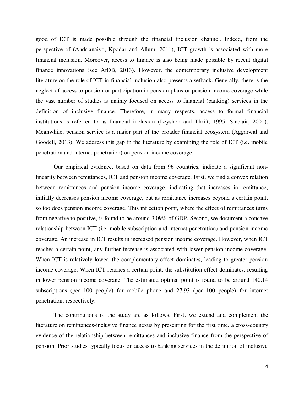good of ICT is made possible through the financial inclusion channel. Indeed, from the perspective of (Andrianaivo, Kpodar and Allum, 2011), ICT growth is associated with more financial inclusion. Moreover, access to finance is also being made possible by recent digital finance innovations (see AfDB, 2013). However, the contemporary inclusive development literature on the role of ICT in financial inclusion also presents a setback. Generally, there is the neglect of access to pension or participation in pension plans or pension income coverage while the vast number of studies is mainly focused on access to financial (banking) services in the definition of inclusive finance. Therefore, in many respects, access to formal financial institutions is referred to as financial inclusion (Leyshon and Thrift, 1995; Sinclair, 2001). Meanwhile, pension service is a major part of the broader financial ecosystem (Aggarwal and Goodell, 2013). We address this gap in the literature by examining the role of ICT (i.e. mobile penetration and internet penetration) on pension income coverage.

Our empirical evidence, based on data from 96 countries, indicate a significant nonlinearity between remittances, ICT and pension income coverage. First, we find a convex relation between remittances and pension income coverage, indicating that increases in remittance, initially decreases pension income coverage, but as remittance increases beyond a certain point, so too does pension income coverage. This inflection point, where the effect of remittances turns from negative to positive, is found to be around 3.09% of GDP. Second, we document a concave relationship between ICT (i.e. mobile subscription and internet penetration) and pension income coverage. An increase in ICT results in increased pension income coverage. However, when ICT reaches a certain point, any further increase is associated with lower pension income coverage. When ICT is relatively lower, the complementary effect dominates, leading to greater pension income coverage. When ICT reaches a certain point, the substitution effect dominates, resulting in lower pension income coverage. The estimated optimal point is found to be around 140.14 subscriptions (per 100 people) for mobile phone and 27.93 (per 100 people) for internet penetration, respectively.

The contributions of the study are as follows. First, we extend and complement the literature on remittances-inclusive finance nexus by presenting for the first time, a cross-country evidence of the relationship between remittances and inclusive finance from the perspective of pension. Prior studies typically focus on access to banking services in the definition of inclusive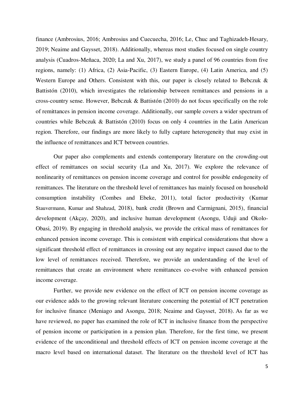finance (Ambrosius, 2016; Ambrosius and Cuecuecha, 2016; Le, Chuc and Taghizadeh-Hesary, 2019; Neaime and Gaysset, 2018). Additionally, whereas most studies focused on single country analysis (Cuadros-Meñaca, 2020; La and Xu, 2017), we study a panel of 96 countries from five regions, namely: (1) Africa, (2) Asia-Pacific, (3) Eastern Europe, (4) Latin America, and (5) Western Europe and Others. Consistent with this, our paper is closely related to Bebczuk & Battistón (2010), which investigates the relationship between remittances and pensions in a cross-country sense. However, Bebczuk & Battistón (2010) do not focus specifically on the role of remittances in pension income coverage. Additionally, our sample covers a wider spectrum of countries while Bebczuk & Battistón (2010) focus on only 4 countries in the Latin American region. Therefore, our findings are more likely to fully capture heterogeneity that may exist in the influence of remittances and ICT between countries.

Our paper also complements and extends contemporary literature on the crowding-out effect of remittances on social security (La and Xu, 2017). We explore the relevance of nonlinearity of remittances on pension income coverage and control for possible endogeneity of remittances. The literature on the threshold level of remittances has mainly focused on household consumption instability (Combes and Ebeke, 2011), total factor productivity (Kumar Stauvermann, Kumar and Shahzad, 2018), bank credit (Brown and Carmignani, 2015), financial development (Akçay, 2020), and inclusive human development (Asongu, Uduji and Okolo-Obasi, 2019). By engaging in threshold analysis, we provide the critical mass of remittances for enhanced pension income coverage. This is consistent with empirical considerations that show a significant threshold effect of remittances in crossing out any negative impact caused due to the low level of remittances received. Therefore, we provide an understanding of the level of remittances that create an environment where remittances co-evolve with enhanced pension income coverage.

Further, we provide new evidence on the effect of ICT on pension income coverage as our evidence adds to the growing relevant literature concerning the potential of ICT penetration for inclusive finance (Meniago and Asongu, 2018; Neaime and Gaysset, 2018). As far as we have reviewed, no paper has examined the role of ICT in inclusive finance from the perspective of pension income or participation in a pension plan. Therefore, for the first time, we present evidence of the unconditional and threshold effects of ICT on pension income coverage at the macro level based on international dataset. The literature on the threshold level of ICT has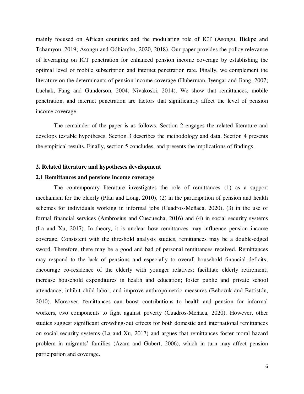mainly focused on African countries and the modulating role of ICT (Asongu, Biekpe and Tchamyou, 2019; Asongu and Odhiambo, 2020, 2018). Our paper provides the policy relevance of leveraging on ICT penetration for enhanced pension income coverage by establishing the optimal level of mobile subscription and internet penetration rate. Finally, we complement the literature on the determinants of pension income coverage (Huberman, Iyengar and Jiang, 2007; Luchak, Fang and Gunderson, 2004; Nivakoski, 2014). We show that remittances, mobile penetration, and internet penetration are factors that significantly affect the level of pension income coverage.

The remainder of the paper is as follows. Section 2 engages the related literature and develops testable hypotheses. Section 3 describes the methodology and data. Section 4 presents the empirical results. Finally, section 5 concludes, and presents the implications of findings.

#### **2. Related literature and hypotheses development**

#### **2.1 Remittances and pensions income coverage**

The contemporary literature investigates the role of remittances (1) as a support mechanism for the elderly (Pfau and Long, 2010), (2) in the participation of pension and health schemes for individuals working in informal jobs (Cuadros-Meñaca, 2020), (3) in the use of formal financial services (Ambrosius and Cuecuecha, 2016) and (4) in social security systems (La and Xu, 2017). In theory, it is unclear how remittances may influence pension income coverage. Consistent with the threshold analysis studies, remittances may be a double-edged sword. Therefore, there may be a good and bad of personal remittances received. Remittances may respond to the lack of pensions and especially to overall household financial deficits; encourage co-residence of the elderly with younger relatives; facilitate elderly retirement; increase household expenditures in health and education; foster public and private school attendance; inhibit child labor, and improve anthropometric measures (Bebczuk and Battistón, 2010). Moreover, remittances can boost contributions to health and pension for informal workers, two components to fight against poverty (Cuadros-Meñaca, 2020). However, other studies suggest significant crowding-out effects for both domestic and international remittances on social security systems (La and Xu, 2017) and argues that remittances foster moral hazard problem in migrants' families (Azam and Gubert, 2006), which in turn may affect pension participation and coverage.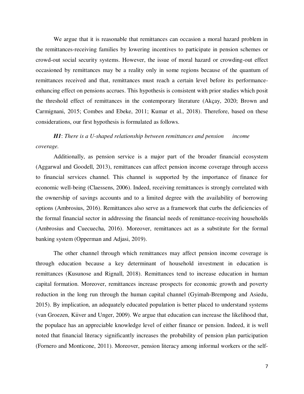We argue that it is reasonable that remittances can occasion a moral hazard problem in the remittances-receiving families by lowering incentives to participate in pension schemes or crowd-out social security systems. However, the issue of moral hazard or crowding-out effect occasioned by remittances may be a reality only in some regions because of the quantum of remittances received and that, remittances must reach a certain level before its performanceenhancing effect on pensions accrues. This hypothesis is consistent with prior studies which posit the threshold effect of remittances in the contemporary literature (Akçay, 2020; Brown and Carmignani, 2015; Combes and Ebeke, 2011; Kumar et al., 2018). Therefore, based on these considerations, our first hypothesis is formulated as follows.

*H1*: *There is a U-shaped relationship between remittances and pension income coverage.*

Additionally, as pension service is a major part of the broader financial ecosystem (Aggarwal and Goodell, 2013), remittances can affect pension income coverage through access to financial services channel. This channel is supported by the importance of finance for economic well-being (Claessens, 2006). Indeed, receiving remittances is strongly correlated with the ownership of savings accounts and to a limited degree with the availability of borrowing options (Ambrosius, 2016). Remittances also serve as a framework that curbs the deficiencies of the formal financial sector in addressing the financial needs of remittance-receiving households (Ambrosius and Cuecuecha, 2016). Moreover, remittances act as a substitute for the formal banking system (Opperman and Adjasi, 2019).

The other channel through which remittances may affect pension income coverage is through education because a key determinant of household investment in education is remittances (Kusunose and Rignall, 2018). Remittances tend to increase education in human capital formation. Moreover, remittances increase prospects for economic growth and poverty reduction in the long run through the human capital channel (Gyimah-Brempong and Asiedu, 2015). By implication, an adequately educated population is better placed to understand systems (van Groezen, Kiiver and Unger, 2009). We argue that education can increase the likelihood that, the populace has an appreciable knowledge level of either finance or pension. Indeed, it is well noted that financial literacy significantly increases the probability of pension plan participation (Fornero and Monticone, 2011). Moreover, pension literacy among informal workers or the self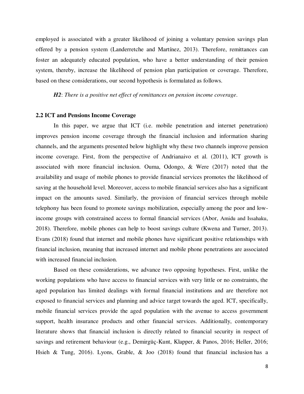employed is associated with a greater likelihood of joining a voluntary pension savings plan offered by a pension system (Landerretche and Martínez, 2013). Therefore, remittances can foster an adequately educated population, who have a better understanding of their pension system, thereby, increase the likelihood of pension plan participation or coverage. Therefore, based on these considerations, our second hypothesis is formulated as follows.

*H2*: *There is a positive net effect of remittances on pension income coverage*.

#### **2.2 ICT and Pensions Income Coverage**

In this paper, we argue that ICT (i.e. mobile penetration and internet penetration) improves pension income coverage through the financial inclusion and information sharing channels, and the arguments presented below highlight why these two channels improve pension income coverage. First, from the perspective of Andrianaivo et al. (2011), ICT growth is associated with more financial inclusion. Ouma, Odongo, & Were (2017) noted that the availability and usage of mobile phones to provide financial services promotes the likelihood of saving at the household level. Moreover, access to mobile financial services also has a significant impact on the amounts saved. Similarly, the provision of financial services through mobile telephony has been found to promote savings mobilization, especially among the poor and lowincome groups with constrained access to formal financial services (Abor, Amidu and Issahaku, 2018). Therefore, mobile phones can help to boost savings culture (Kwena and Turner, 2013). Evans (2018) found that internet and mobile phones have significant positive relationships with financial inclusion, meaning that increased internet and mobile phone penetrations are associated with increased financial inclusion.

Based on these considerations, we advance two opposing hypotheses. First, unlike the working populations who have access to financial services with very little or no constraints, the aged population has limited dealings with formal financial institutions and are therefore not exposed to financial services and planning and advice target towards the aged. ICT, specifically, mobile financial services provide the aged population with the avenue to access government support, health insurance products and other financial services. Additionally, contemporary literature shows that financial inclusion is directly related to financial security in respect of savings and retirement behaviour (e.g., Demirgüç-Kunt, Klapper, & Panos, 2016; Heller, 2016; Hsieh & Tung, 2016). Lyons, Grable, & Joo (2018) found that financial inclusion has a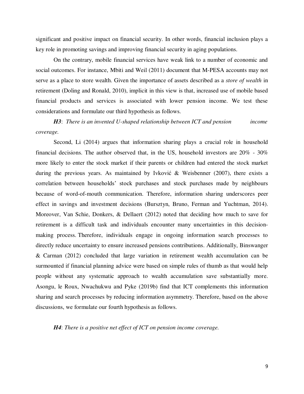significant and positive impact on financial security. In other words, financial inclusion plays a key role in promoting savings and improving financial security in aging populations.

On the contrary, mobile financial services have weak link to a number of economic and social outcomes. For instance, Mbiti and Weil (2011) document that M-PESA accounts may not serve as a place to store wealth. Given the importance of assets described as a *store of wealth* in retirement (Doling and Ronald, 2010), implicit in this view is that, increased use of mobile based financial products and services is associated with lower pension income. We test these considerations and formulate our third hypothesis as follows.

 *H3*: *There is an invented U-shaped relationship between ICT and pension income coverage.*

Second, Li (2014) argues that information sharing plays a crucial role in household financial decisions. The author observed that, in the US, household investors are 20% - 30% more likely to enter the stock market if their parents or children had entered the stock market during the previous years. As maintained by Ivković & Weisbenner (2007), there exists a correlation between households' stock purchases and stock purchases made by neighbours because of word-of-mouth communication. Therefore, information sharing underscores peer effect in savings and investment decisions (Bursztyn, Bruno, Ferman and Yuchtman, 2014). Moreover, Van Schie, Donkers, & Dellaert (2012) noted that deciding how much to save for retirement is a difficult task and individuals encounter many uncertainties in this decisionmaking process. Therefore, individuals engage in ongoing information search processes to directly reduce uncertainty to ensure increased pensions contributions. Additionally, Binswanger & Carman (2012) concluded that large variation in retirement wealth accumulation can be surmounted if financial planning advice were based on simple rules of thumb as that would help people without any systematic approach to wealth accumulation save substantially more. Asongu, le Roux, Nwachukwu and Pyke (2019b) find that ICT complements this information sharing and search processes by reducing information asymmetry. Therefore, based on the above discussions, we formulate our fourth hypothesis as follows.

*H4*: *There is a positive net effect of ICT on pension income coverage.*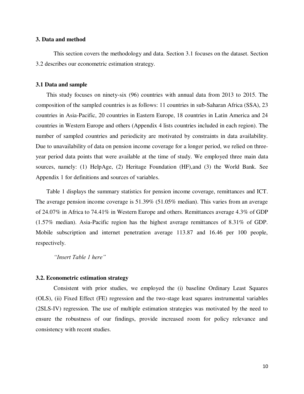#### **3. Data and method**

This section covers the methodology and data. Section 3.1 focuses on the dataset. Section 3.2 describes our econometric estimation strategy.

#### **3.1 Data and sample**

This study focuses on ninety-six (96) countries with annual data from 2013 to 2015. The composition of the sampled countries is as follows: 11 countries in sub-Saharan Africa (SSA), 23 countries in Asia-Pacific, 20 countries in Eastern Europe, 18 countries in Latin America and 24 countries in Western Europe and others (Appendix 4 lists countries included in each region). The number of sampled countries and periodicity are motivated by constraints in data availability. Due to unavailability of data on pension income coverage for a longer period, we relied on threeyear period data points that were available at the time of study. We employed three main data sources, namely: (1) HelpAge, (2) Heritage Foundation (HF),and (3) the World Bank. See Appendix 1 for definitions and sources of variables.

Table 1 displays the summary statistics for pension income coverage, remittances and ICT. The average pension income coverage is 51.39% (51.05% median). This varies from an average of 24.07% in Africa to 74.41% in Western Europe and others. Remittances average 4.3% of GDP (1.57% median). Asia-Pacific region has the highest average remittances of 8.31% of GDP. Mobile subscription and internet penetration average 113.87 and 16.46 per 100 people, respectively.

*"Insert Table 1 here"*

#### **3.2. Econometric estimation strategy**

Consistent with prior studies, we employed the (i) baseline Ordinary Least Squares (OLS), (ii) Fixed Effect (FE) regression and the two-stage least squares instrumental variables (2SLS-IV) regression. The use of multiple estimation strategies was motivated by the need to ensure the robustness of our findings, provide increased room for policy relevance and consistency with recent studies.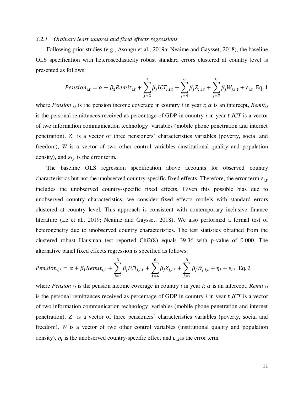#### *3.2.1 Ordinary least squares and fixed effects regressions*

Following prior studies (e.g., Asongu et al., 2019a; Neaime and Gaysset, 2018), the baseline OLS specification with heteroscedasticity robust standard errors clustered at country level is presented as follows:

$$
Pension_{i,t} = \alpha + \beta_1 Remit_{i,t} + \sum_{j=2}^{3} \beta_j ICT_{j,i,t} + \sum_{j=4}^{6} \beta_j Z_{j,i,t} + \sum_{j=7}^{8} \beta_j W_{j,i,t} + \varepsilon_{i,t} \text{ Eq. 1}
$$

where *Pension*  $_{i,t}$  is the pension income coverage in country *i* in year *t*;  $\alpha$  is an intercept, *Remit<sub>i,t</sub>* is the personal remittances received as percentage of GDP in country *i* in year *t*,*ICT* is a vector of two information communication technology variables (mobile phone penetration and internet penetration), *Z* is a vector of three pensioners' characteristics variables (poverty, social and freedom), *W* is a vector of two other control variables (institutional quality and population density), and  $\varepsilon_{i,t}$  is the error term.

The baseline OLS regression specification above accounts for observed country characteristics but not the unobserved country-specific fixed effects. Therefore, the error term  $\varepsilon_{i,t}$ includes the unobserved country-specific fixed effects. Given this possible bias due to unobserved country characteristics, we consider fixed effects models with standard errors clustered at country level. This approach is consistent with contemporary inclusive finance literature (Le et al., 2019; Neaime and Gaysset, 2018). We also performed a formal test of heterogeneity due to unobserved country characteristics. The test statistics obtained from the clustered robust Hausman test reported Chi2(8) equals 39.36 with p-value of 0.000. The alternative panel fixed effects regression is specified as follows:

$$
Pension_{i,t} = \alpha + \beta_1 Remit_{i,t} + \sum_{j=2}^{3} \beta_j ICT_{j,i,t} + \sum_{j=4}^{6} \beta_j Z_{j,i,t} + \sum_{j=7}^{8} \beta_j W_{j,i,t} + \eta_i + \varepsilon_{i,t} \text{ Eq. 2}
$$

where *Pension*  $_{i,t}$  is the pension income coverage in country *i* in year *t*;  $\alpha$  is an intercept, *Remit*  $_{i,t}$ is the personal remittances received as percentage of GDP in country  $i$  in year  $t$ ,  $ICT$  is a vector of two information communication technology variables (mobile phone penetration and internet penetration), *Z* is a vector of three pensioners' characteristics variables (poverty, social and freedom), *W* is a vector of two other control variables (institutional quality and population density),  $\eta_i$  is the unobserved country-specific effect and  $\varepsilon_{i,t}$  is the error term.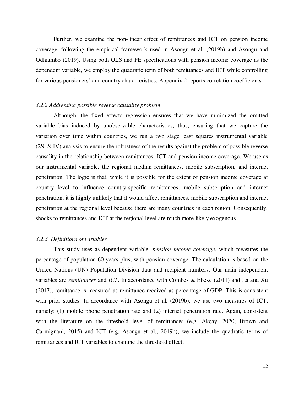Further, we examine the non-linear effect of remittances and ICT on pension income coverage, following the empirical framework used in Asongu et al. (2019b) and Asongu and Odhiambo (2019). Using both OLS and FE specifications with pension income coverage as the dependent variable, we employ the quadratic term of both remittances and ICT while controlling for various pensioners' and country characteristics. Appendix 2 reports correlation coefficients.

#### *3.2.2 Addressing possible reverse causality problem*

 Although, the fixed effects regression ensures that we have minimized the omitted variable bias induced by unobservable characteristics, thus, ensuring that we capture the variation over time within countries, we run a two stage least squares instrumental variable (2SLS-IV) analysis to ensure the robustness of the results against the problem of possible reverse causality in the relationship between remittances, ICT and pension income coverage. We use as our instrumental variable, the regional median remittances, mobile subscription, and internet penetration. The logic is that, while it is possible for the extent of pension income coverage at country level to influence country-specific remittances, mobile subscription and internet penetration, it is highly unlikely that it would affect remittances, mobile subscription and internet penetration at the regional level because there are many countries in each region. Consequently, shocks to remittances and ICT at the regional level are much more likely exogenous.

#### *3.2.3. Definitions of variables*

This study uses as dependent variable, *pension income coverage*, which measures the percentage of population 60 years plus, with pension coverage. The calculation is based on the United Nations (UN) Population Division data and recipient numbers. Our main independent variables are *remittances* and *ICT*. In accordance with Combes & Ebeke (2011) and La and Xu (2017), remittance is measured as remittance received as percentage of GDP. This is consistent with prior studies. In accordance with Asongu et al. (2019b), we use two measures of ICT, namely: (1) mobile phone penetration rate and (2) internet penetration rate. Again, consistent with the literature on the threshold level of remittances (e.g. Akçay, 2020; Brown and Carmignani, 2015) and ICT (e.g. Asongu et al., 2019b), we include the quadratic terms of remittances and ICT variables to examine the threshold effect.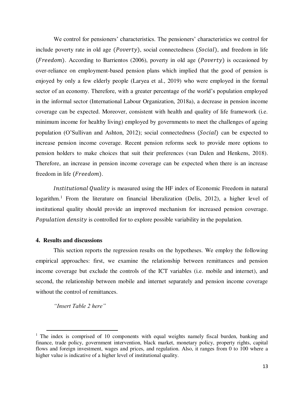We control for pensioners' characteristics. The pensioners' characteristics we control for include poverty rate in old age  $(Povert y)$ , social connectedness (*Social*), and freedom in life ( $Freedom$ ). According to Barrientos (2006), poverty in old age ( $Powerty$ ) is occasioned by over-reliance on employment-based pension plans which implied that the good of pension is enjoyed by only a few elderly people (Laryea et al., 2019) who were employed in the formal sector of an economy. Therefore, with a greater percentage of the world's population employed in the informal sector (International Labour Organization, 2018a), a decrease in pension income coverage can be expected. Moreover, consistent with health and quality of life framework (i.e. minimum income for healthy living) employed by governments to meet the challenges of ageing population (O'Sullivan and Ashton, 2012); social connectedness (*Social*) can be expected to increase pension income coverage. Recent pension reforms seek to provide more options to pension holders to make choices that suit their preferences (van Dalen and Henkens, 2018). Therefore, an increase in pension income coverage can be expected when there is an increase freedom in life (Freedom).

Institutional Quality is measured using the HF index of Economic Freedom in natural logarithm.<sup>1</sup> From the literature on financial liberalization (Delis, 2012), a higher level of institutional quality should provide an improved mechanism for increased pension coverage. Population density is controlled for to explore possible variability in the population.

#### **4. Results and discussions**

This section reports the regression results on the hypotheses. We employ the following empirical approaches: first, we examine the relationship between remittances and pension income coverage but exclude the controls of the ICT variables (i.e. mobile and internet), and second, the relationship between mobile and internet separately and pension income coverage without the control of remittances.

*"Insert Table 2 here"*

l

<sup>&</sup>lt;sup>1</sup> The index is comprised of 10 components with equal weights namely fiscal burden, banking and finance, trade policy, government intervention, black market, monetary policy, property rights, capital flows and foreign investment, wages and prices, and regulation. Also, it ranges from 0 to 100 where a higher value is indicative of a higher level of institutional quality.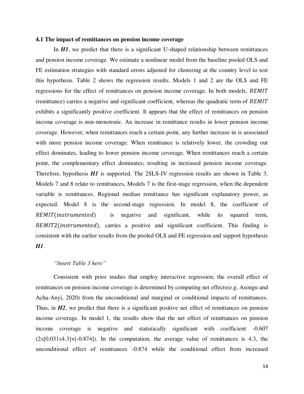#### **4.1 The impact of remittances on pension income coverage**

In *H1*, we predict that there is a significant U-shaped relationship between remittances and pension income coverage. We estimate a nonlinear model from the baseline pooled OLS and FE estimation strategies with standard errors adjusted for clustering at the country level to test this hypothesis. Table 2 shows the regression results. Models 1 and 2 are the OLS and FE regressions for the effect of remittances on pension income coverage. In both models, REMIT (remittance) carries a negative and significant coefficient, whereas the quadratic term of REMIT exhibits a significantly positive coefficient. It appears that the effect of remittances on pension income coverage is non-monotonic. An increase in remittance results in lower pension income coverage. However, when remittances reach a certain point, any further increase in is associated with more pension income coverage. When remittance is relatively lower, the crowding out effect dominates, leading to lower pension income coverage. When remittances reach a certain point, the complementary effect dominates; resulting in increased pension income coverage. Therefore, hypothesis *H1* is supported. The 2SLS-IV regression results are shown in Table 3. Models 7 and 8 relate to remittances, Models 7 is the first-stage regression, when the dependent variable is remittances. Regional median remittance has significant explanatory power, as expected. Model 8 is the second-stage regression. In model 8, the coefficient of REMIT(instrumented) is negative and significant, while its squared term, REMIT2(*instrumented*), carries a positive and significant coefficient. This finding is consistent with the earlier results from the pooled OLS and FE regression and support hypothesis *H1*.

#### *"Insert Table 3 here"*

Consistent with prior studies that employ interactive regression, the overall effect of remittances on pension income coverage is determined by computing net effects(e.g. Asongu and Acha-Anyi, 2020) from the unconditional and marginal or conditional impacts of remittances. Thus, in *H2*, we predict that there is a significant positive net effect of remittances on pension income coverage. In model 1, the results show that the net effect of remittances on pension income coverage is negative and statistically significant with coefficient -0.607  $(2x[0.031x4.3]+[-0.874])$ . In the computation, the average value of remittances is 4.3, the unconditional effect of remittances -0.874 while the conditional effect from increased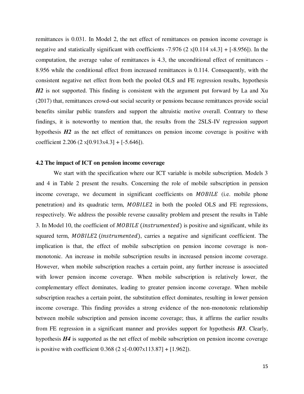remittances is 0.031. In Model 2, the net effect of remittances on pension income coverage is negative and statistically significant with coefficients  $-7.976$  (2 x[0.114 x4.3] + [ $-8.956$ ]). In the computation, the average value of remittances is 4.3, the unconditional effect of remittances - 8.956 while the conditional effect from increased remittances is 0.114. Consequently, with the consistent negative net effect from both the pooled OLS and FE regression results, hypothesis *H2* is not supported. This finding is consistent with the argument put forward by La and Xu (2017) that, remittances crowd-out social security or pensions because remittances provide social benefits similar public transfers and support the altruistic motive overall. Contrary to these findings, it is noteworthy to mention that, the results from the 2SLS-IV regression support hypothesis **H2** as the net effect of remittances on pension income coverage is positive with coefficient 2.206 (2  $x[0.913x4.3] + [-5.646]$ ).

#### **4.2 The impact of ICT on pension income coverage**

We start with the specification where our ICT variable is mobile subscription. Models 3 and 4 in Table 2 present the results. Concerning the role of mobile subscription in pension income coverage, we document in significant coefficients on *MOBILE* (i.e. mobile phone penetration) and its quadratic term, MOBILE2 in both the pooled OLS and FE regressions, respectively. We address the possible reverse causality problem and present the results in Table 3. In Model 10, the coefficient of  $MOBILE$  (instrumented) is positive and significant, while its squared term, MOBILE2 (instrumented), carries a negative and significant coefficient. The implication is that, the effect of mobile subscription on pension income coverage is nonmonotonic. An increase in mobile subscription results in increased pension income coverage. However, when mobile subscription reaches a certain point, any further increase is associated with lower pension income coverage. When mobile subscription is relatively lower, the complementary effect dominates, leading to greater pension income coverage. When mobile subscription reaches a certain point, the substitution effect dominates, resulting in lower pension income coverage. This finding provides a strong evidence of the non-monotonic relationship between mobile subscription and pension income coverage; thus, it affirms the earlier results from FE regression in a significant manner and provides support for hypothesis *H3*. Clearly, hypothesis *H4* is supported as the net effect of mobile subscription on pension income coverage is positive with coefficient  $0.368$  (2 x[-0.007x113.87] + [1.962]).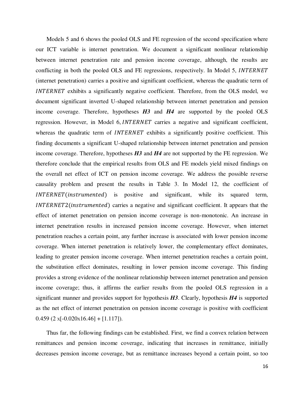Models 5 and 6 shows the pooled OLS and FE regression of the second specification where our ICT variable is internet penetration. We document a significant nonlinear relationship between internet penetration rate and pension income coverage, although, the results are conflicting in both the pooled OLS and FE regressions, respectively. In Model 5, *INTERNET* (internet penetration) carries a positive and significant coefficient, whereas the quadratic term of INTERNET exhibits a significantly negative coefficient. Therefore, from the OLS model, we document significant inverted U-shaped relationship between internet penetration and pension income coverage. Therefore, hypotheses *H3* and *H4* are supported by the pooled OLS regression. However, in Model 6, *INTERNET* carries a negative and significant coefficient, whereas the quadratic term of  $INTERNET$  exhibits a significantly positive coefficient. This finding documents a significant U-shaped relationship between internet penetration and pension income coverage. Therefore, hypotheses *H3* and *H4* are not supported by the FE regression. We therefore conclude that the empirical results from OLS and FE models yield mixed findings on the overall net effect of ICT on pension income coverage. We address the possible reverse causality problem and present the results in Table 3. In Model 12, the coefficient of INTERNET (instrumented) is positive and significant, while its squared term, INTERNET2(instrumented) carries a negative and significant coefficient. It appears that the effect of internet penetration on pension income coverage is non-monotonic. An increase in internet penetration results in increased pension income coverage. However, when internet penetration reaches a certain point, any further increase is associated with lower pension income coverage. When internet penetration is relatively lower, the complementary effect dominates, leading to greater pension income coverage. When internet penetration reaches a certain point, the substitution effect dominates, resulting in lower pension income coverage. This finding provides a strong evidence of the nonlinear relationship between internet penetration and pension income coverage; thus, it affirms the earlier results from the pooled OLS regression in a significant manner and provides support for hypothesis *H3*. Clearly, hypothesis *H4* is supported as the net effect of internet penetration on pension income coverage is positive with coefficient  $0.459$  (2 x[-0.020x16.46] + [1.117]).

Thus far, the following findings can be established. First, we find a convex relation between remittances and pension income coverage, indicating that increases in remittance, initially decreases pension income coverage, but as remittance increases beyond a certain point, so too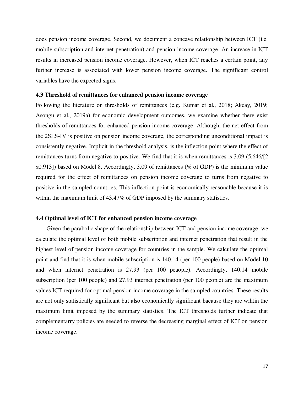does pension income coverage. Second, we document a concave relationship between ICT (i.e. mobile subscription and internet penetration) and pension income coverage. An increase in ICT results in increased pension income coverage. However, when ICT reaches a certain point, any further increase is associated with lower pension income coverage. The significant control variables have the expected signs.

#### **4.3 Threshold of remittances for enhanced pension income coverage**

Following the literature on thresholds of remittances (e.g. Kumar et al., 2018; Akcay, 2019; Asongu et al., 2019a) for economic development outcomes, we examine whether there exist thresholds of remittances for enhanced pension income coverage. Although, the net effect from the 2SLS-IV is positive on pension income coverage, the corresponding unconditional impact is consistently negative. Implicit in the threshold analysis, is the inflection point where the effect of remittances turns from negative to positive. We find that it is when remittances is 3.09 (5.646/[2 <sup>X</sup>0.913]) based on Model 8. Accordingly, 3.09 of remittances (% of GDP) is the minimum value required for the effect of remittances on pension income coverage to turns from negative to positive in the sampled countries. This inflection point is economically reasonable because it is within the maximum limit of 43.47% of GDP imposed by the summary statistics.

#### **4.4 Optimal level of ICT for enhanced pension income coverage**

Given the parabolic shape of the relationship between ICT and pension income coverage, we calculate the optimal level of both mobile subscription and internet penetration that result in the highest level of pension income coverage for countries in the sample. We calculate the optimal point and find that it is when mobile subscription is 140.14 (per 100 people) based on Model 10 and when internet penetration is 27.93 (per 100 peaople). Accordingly, 140.14 mobile subscription (per 100 people) and 27.93 internet penetration (per 100 people) are the maximum values ICT required for optimal pension income coverage in the sampled countries. These results are not only statistically significant but also economically significant bacause they are wihtin the maximum limit imposed by the summary statistics. The ICT thresholds further indicate that complementarry policies are needed to reverse the decreasing marginal effect of ICT on pension income coverage.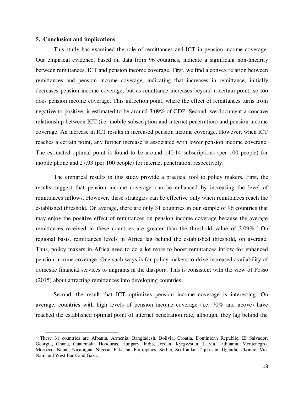#### **5. Conclusion and implications**

l

This study has examined the role of remittances and ICT in pension income coverage. Our empirical evidence, based on data from 96 countries, indicate a significant non-linearity between remittances, ICT and pension income coverage. First, we find a convex relation between remittances and pension income coverage, indicating that increases in remittance, initially decreases pension income coverage, but as remittance increases beyond a certain point, so too does pension income coverage. This inflection point, where the effect of remittances turns from negative to positive, is estimated to be around 3.09% of GDP. Second, we document a concave relationship between ICT (i.e. mobile subscription and internet penetration) and pension income coverage. An increase in ICT results in increased pension income coverage. However, when ICT reaches a certain point, any further increase is associated with lower pension income coverage. The estimated optimal point is found to be around 140.14 subscriptions (per 100 people) for mobile phone and 27.93 (per 100 people) for internet penetration, respectively.

The empirical results in this study provide a practical tool to policy makers. First, the results suggest that pension income coverage can be enhanced by increasing the level of remittances inflows. However, these strategies can be effective only when remittances reach the established threshold. On average, there are only 31 countries in our sample of 96 countries that may enjoy the positive effect of remittances on pension income coverage because the average remittances received in these countries are greater than the threshold value of 3.09%.<sup>2</sup> On regional basis, remittances levels in Africa lag behind the established threshold, on average. Thus, policy makers in Africa need to do a lot more to boost remittances inflow for enhanced pension income coverage. One such ways is for policy makers to drive increased availability of domestic financial services to migrants in the diaspora. This is consistent with the view of Posso (2015) about attracting remittances into developing countries.

Second, the result that ICT optimizes pension income coverage is interesting. On average, countries with high levels of pension income coverage (i.e. 70% and above) have reached the established optimal point of internet penetration rate, although, they lag behind the

<sup>&</sup>lt;sup>2</sup> These 31 countries are Albania, Armenia, Bangladesh, Bolivia, Croatia, Dominican Republic, El Salvador, Georgia, Ghana, Guatemala, Honduras, Hungary, India, Jordan, Kyrgyzstan, Latvia, Lithuania, Montenegro, Morocco, Nepal, Nicaragua, Nigeria, Pakistan, Philippines, Serbia, Sri Lanka, Tajikistan, Uganda, Ukraine, Viet Nam and West Bank and Gaza.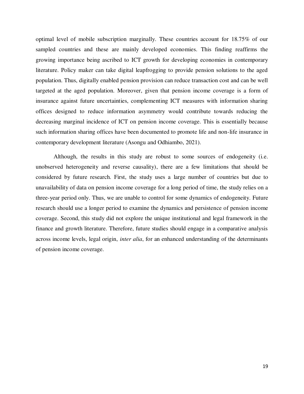optimal level of mobile subscription marginally. These countries account for 18.75% of our sampled countries and these are mainly developed economies. This finding reaffirms the growing importance being ascribed to ICT growth for developing economies in contemporary literature. Policy maker can take digital leapfrogging to provide pension solutions to the aged population. Thus, digitally enabled pension provision can reduce transaction cost and can be well targeted at the aged population. Moreover, given that pension income coverage is a form of insurance against future uncertainties, complementing ICT measures with information sharing offices designed to reduce information asymmetry would contribute towards reducing the decreasing marginal incidence of ICT on pension income coverage. This is essentially because such information sharing offices have been documented to promote life and non-life insurance in contemporary development literature (Asongu and Odhiambo, 2021).

Although, the results in this study are robust to some sources of endogeneity (i.e. unobserved heterogeneity and reverse causality), there are a few limitations that should be considered by future research. First, the study uses a large number of countries but due to unavailability of data on pension income coverage for a long period of time, the study relies on a three-year period only. Thus, we are unable to control for some dynamics of endogeneity. Future research should use a longer period to examine the dynamics and persistence of pension income coverage. Second, this study did not explore the unique institutional and legal framework in the finance and growth literature. Therefore, future studies should engage in a comparative analysis across income levels, legal origin, *inter alia*, for an enhanced understanding of the determinants of pension income coverage.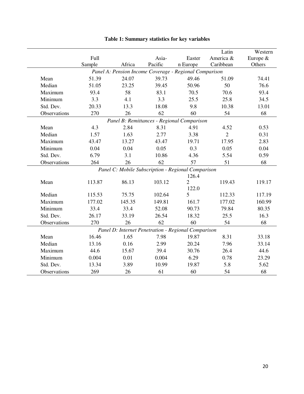|              | Full<br>Sample | Africa | Asia-<br>Pacific                                       | Easter<br>n Europe | Latin<br>America &<br>Caribbean | Western<br>Europe &<br>Others |
|--------------|----------------|--------|--------------------------------------------------------|--------------------|---------------------------------|-------------------------------|
|              |                |        | Panel A: Pension Income Coverage - Regional Comparison |                    |                                 |                               |
| Mean         | 51.39          | 24.07  | 39.73                                                  | 49.46              | 51.09                           | 74.41                         |
| Median       | 51.05          | 23.25  | 39.45                                                  | 50.96              | 50                              | 76.6                          |
| Maximum      | 93.4           | 58     | 83.1                                                   | 70.5               | 70.6                            | 93.4                          |
| Minimum      | 3.3            | 4.1    | 3.3                                                    | 25.5               | 25.8                            | 34.5                          |
| Std. Dev.    | 20.33          | 13.3   | 18.08                                                  | 9.8                | 10.38                           | 13.01                         |
| Observations | 270            | 26     | 62                                                     | 60                 | 54                              | 68                            |
|              |                |        | Panel B: Remittances - Regional Comparison             |                    |                                 |                               |
| Mean         | 4.3            | 2.84   | 8.31                                                   | 4.91               | 4.52                            | 0.53                          |
| Median       | 1.57           | 1.63   | 2.77                                                   | 3.38               | $\overline{2}$                  | 0.31                          |
| Maximum      | 43.47          | 13.27  | 43.47                                                  | 19.71              | 17.95                           | 2.83                          |
| Minimum      | 0.04           | 0.04   | 0.05                                                   | 0.3                | 0.05                            | 0.04                          |
| Std. Dev.    | 6.79           | 3.1    | 10.86                                                  | 4.36               | 5.54                            | 0.59                          |
| Observations | 264            | 26     | 62                                                     | 57                 | 51                              | 68                            |
|              |                |        | Panel C: Mobile Subscription - Regional Comparison     |                    |                                 |                               |
|              |                |        |                                                        | 126.4              |                                 |                               |
| Mean         | 113.87         | 86.13  | 103.12                                                 | $\overline{2}$     | 119.43                          | 119.17                        |
|              |                |        |                                                        | 122.0              |                                 |                               |
| Median       | 115.53         | 75.75  | 102.64                                                 | 5                  | 112.33                          | 117.19                        |
| Maximum      | 177.02         | 145.35 | 149.81                                                 | 161.7              | 177.02                          | 160.99                        |
| Minimum      | 33.4           | 33.4   | 52.08                                                  | 90.73              | 79.84                           | 80.35                         |
| Std. Dev.    | 26.17          | 33.19  | 26.54                                                  | 18.32              | 25.5                            | 16.3                          |
| Observations | 270            | 26     | 62                                                     | 60                 | 54                              | 68                            |
|              |                |        | Panel D: Internet Penetration - Regional Comparison    |                    |                                 |                               |
| Mean         | 16.46          | 1.65   | 7.98                                                   | 19.87              | 8.31                            | 33.18                         |
| Median       | 13.16          | 0.16   | 2.99                                                   | 20.24              | 7.96                            | 33.14                         |
| Maximum      | 44.6           | 15.67  | 39.4                                                   | 30.76              | 26.4                            | 44.6                          |
| Minimum      | 0.004          | 0.01   | 0.004                                                  | 6.29               | 0.78                            | 23.29                         |
| Std. Dev.    | 13.34          | 3.89   | 10.99                                                  | 19.87              | 5.8                             | 5.62                          |
| Observations | 269            | 26     | 61                                                     | 60                 | 54                              | 68                            |

## **Table 1: Summary statistics for key variables**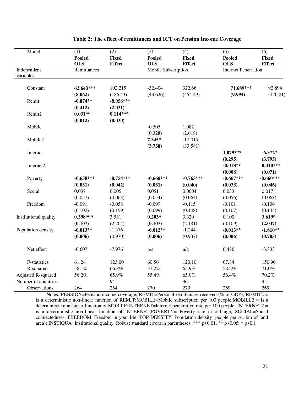| Model                 | (1)                         | $\overline{(2)}$              | (3)                         | (4)                           | (5)                         | (6)                           |
|-----------------------|-----------------------------|-------------------------------|-----------------------------|-------------------------------|-----------------------------|-------------------------------|
|                       | <b>Pooled</b><br><b>OLS</b> | <b>Fixed</b><br><b>Effect</b> | <b>Pooled</b><br><b>OLS</b> | <b>Fixed</b><br><b>Effect</b> | <b>Pooled</b><br><b>OLS</b> | <b>Fixed</b><br><b>Effect</b> |
| Independent           | Remittances                 |                               |                             | Mobile Subscription           | <b>Internet Penetration</b> |                               |
| variables             |                             |                               |                             |                               |                             |                               |
| Constant              | 62.643***                   | 102.215                       | $-32.404$                   | 322.66                        | 71.689***                   | 92.894                        |
|                       | (8.062)                     | (186.43)                      | (43.626)                    | (454.49)                      | (9.994)                     | (170.81)                      |
| Remit                 | $-0.874**$                  | $-8.956***$                   |                             |                               |                             |                               |
|                       | (0.412)                     | (2.031)                       |                             |                               |                             |                               |
| Remit2                | $0.031**$                   | $0.114***$                    |                             |                               |                             |                               |
|                       | (0.012)                     | (0.030)                       |                             |                               |                             |                               |
| Mobile                |                             |                               | $-0.505$                    | 1.082                         |                             |                               |
|                       |                             |                               | (0.328)                     | (2.618)                       |                             |                               |
| Mobile2               |                             |                               | 7.345*                      | $-17.015$                     |                             |                               |
|                       |                             |                               | (3.738)                     | (33.581)                      |                             |                               |
| Internet              |                             |                               |                             |                               | 1.079***                    | $-6.372*$                     |
|                       |                             |                               |                             |                               | (0.295)                     | (3.795)                       |
| Internet2             |                             |                               |                             |                               | $-0.018**$                  | $0.310***$                    |
|                       |                             |                               |                             |                               | (0.008)                     | (0.071)                       |
| Poverty               | $-0.658***$                 | $-0.754***$                   | $-0.660***$                 | $-0.765***$                   | $-0.667***$                 | $-0.660***$                   |
|                       | (0.031)                     | (0.042)                       | (0.031)                     | (0.040)                       | (0.033)                     | (0.046)                       |
| Social                | 0.037                       | 0.005                         | 0.051                       | 0.0004                        | 0.033                       | 0.017                         |
|                       | (0.057)                     | (0.063)                       | (0.054)                     | (0.064)                       | (0.056)                     | (0.068)                       |
| Freedom               | $-0.091$                    | $-0.058$                      | $-0.099$                    | $-0.115$                      | $-0.101$                    | $-0.136$                      |
|                       | (0.102)                     | (0.159)                       | (0.099)                     | (0.148)                       | (0.107)                     | (0.145)                       |
| Institutional quality | $0.398***$                  | 3.531                         | $0.203*$                    | 3.320                         | 0.100                       | $3.619*$                      |
|                       | (0.107)                     | (2.204)                       | (0.107)                     | (2.181)                       | (0.109)                     | (2.047)                       |
| Population density    | $-0.013**$                  | $-1.376$                      | $-0.012**$                  | $-1.244$                      | $-0.013**$                  | $-1.810**$                    |
|                       | (0.006)                     | (0.970)                       | (0.006)                     | (0.937)                       | (0.006)                     | (0.705)                       |
| Net effect            | $-0.607$                    | $-7.976$                      | n/a                         | n/a                           | 0.486                       | $-3.833$                      |
| F-statistics          | 61.24                       | 123.00                        | 60.56                       | 120.10                        | 67.84                       | 150.90                        |
| R-squared             | 58.1%                       | 66.8%                         | 57.2%                       | 65.9%                         | 58.2%                       | 71.0%                         |
| Adjusted R-squared    | 56.2%                       | 65.9%                         | 55.4%                       | 65.0%                         | 56.4%                       | 70.2%                         |
| Number of countries   |                             | 94                            | $\overline{a}$              | 96                            |                             | 95                            |
| Observations          | 264                         | 264                           | 270                         | 270                           | 269                         | 269                           |

#### **Table 2: The effect of remittances and ICT on Pension Income Coverage**

Notes: PENSION=Pension income coverage; REMIT=Personal remittances received (% of GDP); REMIT2 = is a deterministic non-linear function of REMIT;MOBILE=Mobile subscription per 100 people;MOBILE2 = is a deterministic non-linear function of MOBILE;INTERNET=Internet penetration rate per 100 people; INTERNET2 = is a deterministic non-linear function of INTERNET;POVERTY= Poverty rate in old age; SOCIAL=Social connectedness; FREEDOM=Freedom in your life; POP DENSITY=Population density (people per sq. km of land area); INSTIQUA=Institutional quality. Robust standard errors in parentheses. \*\*\*  $p \le 0.01$ , \*\*  $p \le 0.05$ , \*  $p \le 0.1$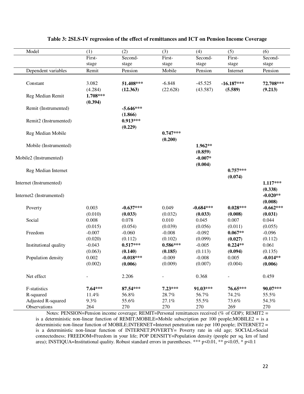| Model                    | (1)      | (2)         | (3)        | (4)         | (5)          | (6)         |
|--------------------------|----------|-------------|------------|-------------|--------------|-------------|
|                          | First-   | Second-     | First-     | Second-     | First-       | Second-     |
|                          | stage    | stage       | stage      | stage       | stage        | stage       |
| Dependent variables      | Remit    | Pension     | Mobile     | Pension     | Internet     | Pension     |
| Constant                 | 3.082    | 51.408***   | $-6.848$   | $-45.525$   | $-16.187***$ | 72.708***   |
|                          | (4.284)  | (12.363)    | (22.628)   | (43.587)    | (5.589)      | (9.213)     |
| Reg Median Remit         | 1.708*** |             |            |             |              |             |
|                          | (0.394)  |             |            |             |              |             |
| Remit (Instrumented)     |          | $-5.646***$ |            |             |              |             |
|                          |          | (1.866)     |            |             |              |             |
| Remit2 (Instrumented)    |          | $0.913***$  |            |             |              |             |
|                          |          | (0.229)     |            |             |              |             |
| Reg Median Mobile        |          |             | $0.747***$ |             |              |             |
|                          |          |             | (0.200)    |             |              |             |
| Mobile (Instrumented)    |          |             |            | $1.962**$   |              |             |
|                          |          |             |            | (0.859)     |              |             |
| Mobile2 (Instrumented)   |          |             |            | $-0.007*$   |              |             |
|                          |          |             |            | (0.004)     |              |             |
| Reg Median Internet      |          |             |            |             | $0.757***$   |             |
|                          |          |             |            |             | (0.074)      |             |
| Internet (Instrumented)  |          |             |            |             |              | $1.117***$  |
|                          |          |             |            |             |              | (0.338)     |
| Internet2 (Instrumented) |          |             |            |             |              | $-0.020**$  |
|                          |          |             |            |             |              | (0.008)     |
| Poverty                  | 0.003    | $-0.637***$ | 0.049      | $-0.684***$ | $0.028***$   | $-0.662***$ |
|                          | (0.010)  | (0.033)     | (0.032)    | (0.033)     | (0.008)      | (0.031)     |
| Social                   | 0.008    | 0.078       | 0.010      | 0.045       | 0.007        | 0.044       |
|                          | (0.015)  | (0.054)     | (0.039)    | (0.056)     | (0.011)      | (0.055)     |
| Freedom                  | $-0.007$ | $-0.060$    | $-0.008$   | $-0.092$    | $0.067**$    | $-0.096$    |
|                          | (0.020)  | (0.112)     | (0.102)    | (0.099)     | (0.027)      | (0.112)     |
| Institutional quality    | $-0.043$ | $0.517***$  | $0.586***$ | $-0.005$    | $0.224**$    | 0.061       |
|                          | (0.063)  | (0.140)     | (0.185)    | (0.113)     | (0.094)      | (0.135)     |
| Population density       | 0.002    | $-0.018***$ | $-0.009$   | $-0.008$    | 0.005        | $-0.014**$  |
|                          | (0.002)  | (0.006)     | (0.009)    | (0.007)     | (0.004)      | (0.006)     |
| Net effect               |          | 2.206       |            | 0.368       |              | 0.459       |
| F-statistics             | 7.64***  | 87.54***    | 7.23***    | 91.03***    | 76.65***     | 90.07***    |
| R-squared                | 11.4%    | 56.8%       | 28.7%      | 56.7%       | 74.2%        | 55.5%       |
| Adjusted R-squared       | $9.3\%$  | 55.6%       | 27.1%      | 55.5%       | 73.6%        | 54.3%       |
| Observations             | 264      | 270         | 270        | 270         | 269          | 270         |

#### **Table 3: 2SLS-IV regression of the effect of remittances and ICT on Pension Income Coverage**

Notes: PENSION=Pension income coverage; REMIT=Personal remittances received (% of GDP); REMIT2 = is a deterministic non-linear function of REMIT;MOBILE=Mobile subscription per 100 people;MOBILE2 = is a deterministic non-linear function of MOBILE; INTERNET=Internet penetration rate per 100 people; INTERNET2 = is a deterministic non-linear function of INTERNET;POVERTY= Poverty rate in old age; SOCIAL=Social connectedness; FREEDOM=Freedom in your life; POP DENSITY=Population density (people per sq. km of land area); INSTIQUA=Institutional quality. Robust standard errors in parentheses. \*\*\* p<0.01, \*\* p<0.05, \* p<0.1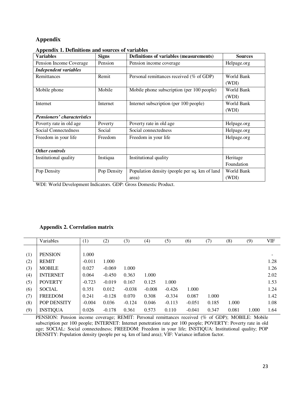### **Appendix**

| <b>Variables</b>                   | <b>Signs</b> | Definitions of variables (measurements)       | <b>Sources</b> |
|------------------------------------|--------------|-----------------------------------------------|----------------|
| Pension Income Coverage            | Pension      | Pension income coverage                       | Helpage.org    |
| <b>Independent variables</b>       |              |                                               |                |
| Remittances                        | Remit        | Personal remittances received (% of GDP)      | World Bank     |
|                                    |              |                                               | (WDI)          |
| Mobile phone                       | Mobile       | Mobile phone subscription (per 100 people)    | World Bank     |
|                                    |              |                                               | (WDI)          |
| Internet                           | Internet     | Internet subscription (per 100 people)        | World Bank     |
|                                    |              |                                               | (WDI)          |
| <b>Pensioners' characteristics</b> |              |                                               |                |
| Poverty rate in old age            | Poverty      | Poverty rate in old age                       | Helpage.org    |
| Social Connectedness               | Social       | Social connectedness                          | Helpage.org    |
| Freedom in your life               | Freedom      | Freedom in your life                          | Helpage.org    |
|                                    |              |                                               |                |
| Other controls                     |              |                                               |                |
| Institutional quality              | Instiqua     | Institutional quality                         | Heritage       |
|                                    |              |                                               | Foundation     |
| Pop Density                        | Pop Density  | Population density (people per sq. km of land | World Bank     |
|                                    |              | area)                                         | (WDI)          |

**Appendix 1. Definitions and sources of variables** 

WDI: World Development Indicators. GDP: Gross Domestic Product.

#### **Appendix 2. Correlation matrix**

|     | Variables          | (1)      | (2)      | (3)      | (4)      | (5)      | (6)      | (7)   | (8)   | (9)   | <b>VIF</b>               |
|-----|--------------------|----------|----------|----------|----------|----------|----------|-------|-------|-------|--------------------------|
|     |                    |          |          |          |          |          |          |       |       |       |                          |
| (1) | <b>PENSION</b>     | 1.000    |          |          |          |          |          |       |       |       | $\overline{\phantom{0}}$ |
| (2) | <b>REMIT</b>       | $-0.011$ | 1.000    |          |          |          |          |       |       |       | 1.28                     |
| (3) | <b>MOBILE</b>      | 0.027    | $-0.069$ | 1.000    |          |          |          |       |       |       | 1.26                     |
| (4) | <b>INTERNET</b>    | 0.064    | $-0.450$ | 0.363    | 1.000    |          |          |       |       |       | 2.02                     |
| (5) | <b>POVERTY</b>     | $-0.723$ | $-0.019$ | 0.167    | 0.125    | 1.000    |          |       |       |       | 1.53                     |
| (6) | <b>SOCIAL</b>      | 0.351    | 0.012    | $-0.038$ | $-0.008$ | $-0.426$ | 1.000    |       |       |       | 1.24                     |
| (7) | <b>FREEDOM</b>     | 0.241    | $-0.128$ | 0.070    | 0.308    | $-0.334$ | 0.087    | 1.000 |       |       | 1.42                     |
| (8) | <b>POP DENSITY</b> | $-0.004$ | 0.036    | $-0.124$ | 0.046    | $-0.113$ | $-0.051$ | 0.185 | 1.000 |       | 1.08                     |
| (9) | <b>INSTIQUA</b>    | 0.026    | $-0.178$ | 0.361    | 0.573    | 0.110    | $-0.041$ | 0.347 | 0.081 | 1.000 | 1.64                     |

PENSION: Pension income coverage; REMIT: Personal remittances received (% of GDP); MOBILE: Mobile subscription per 100 people; INTERNET: Internet penetration rate per 100 people; POVERTY: Poverty rate in old age; SOCIAL: Social connectedness; FREEDOM: Freedom in your life; INSTIQUA: Institutional quality; POP DENSITY: Population density (people per sq. km of land area); VIF: Variance inflation factor.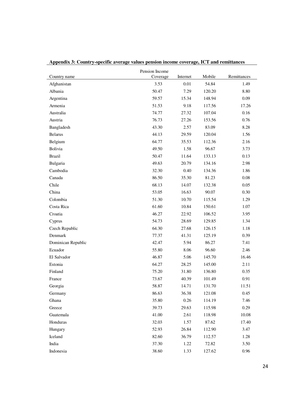|                    | Pension Income |          |        |             |
|--------------------|----------------|----------|--------|-------------|
| Country name       | Coverage       | Internet | Mobile | Remittances |
| Afghanistan        | 3.53           | $0.01\,$ | 54.84  | 1.49        |
| Albania            | 50.47          | 7.29     | 120.20 | 8.80        |
| Argentina          | 59.57          | 15.34    | 148.94 | 0.09        |
| Armenia            | 51.53          | 9.18     | 117.56 | 17.26       |
| Australia          | 74.77          | 27.32    | 107.04 | 0.16        |
| Austria            | 76.73          | 27.26    | 153.56 | 0.76        |
| Bangladesh         | 43.30          | 2.57     | 83.09  | 8.28        |
| <b>Belarus</b>     | 44.13          | 29.59    | 120.04 | 1.56        |
| Belgium            | 64.77          | 35.53    | 112.36 | 2.16        |
| Bolivia            | 49.50          | 1.58     | 96.67  | 3.73        |
| <b>Brazil</b>      | 50.47          | 11.64    | 133.13 | 0.13        |
| Bulgaria           | 49.63          | 20.79    | 134.16 | 2.98        |
| Cambodia           | 32.30          | 0.40     | 134.36 | 1.86        |
| Canada             | 86.50          | 35.30    | 81.23  | $0.08\,$    |
| Chile              | 68.13          | 14.07    | 132.38 | 0.05        |
| China              | 53.05          | 16.63    | 90.07  | 0.30        |
| Colombia           | 51.30          | 10.70    | 115.54 | 1.29        |
| Costa Rica         | 61.60          | 10.84    | 150.61 | 1.07        |
| Croatia            | 46.27          | 22.92    | 106.52 | 3.95        |
| Cyprus             | 54.73          | 28.69    | 129.85 | 1.34        |
| Czech Republic     | 64.30          | 27.68    | 126.15 | 1.18        |
| Denmark            | 77.37          | 41.31    | 125.19 | 0.39        |
| Dominican Republic | 42.47          | 5.94     | 86.27  | 7.41        |
| Ecuador            | 55.80          | 8.06     | 96.60  | 2.46        |
| El Salvador        | 46.87          | 5.06     | 145.70 | 16.46       |
| Estonia            | 64.27          | 28.25    | 145.00 | 2.11        |
| Finland            | 75.20          | 31.80    | 136.80 | 0.35        |
| France             | 73.67          | 40.39    | 101.49 | 0.91        |
| Georgia            | 58.87          | 14.71    | 131.70 | 11.51       |
| Germany            | 86.63          | 36.38    | 121.08 | 0.45        |
| Ghana              | 35.80          | 0.26     | 114.19 | 7.46        |
| Greece             | 39.73          | 29.63    | 115.98 | 0.29        |
| Guatemala          | 41.00          | 2.61     | 118.98 | 10.08       |
| Honduras           | 32.03          | 1.57     | 87.62  | 17.40       |
| Hungary            | 52.93          | 26.84    | 112.90 | 3.47        |
| Iceland            | 82.60          | 36.79    | 112.57 | 1.28        |
| India              | 37.30          | 1.22     | 72.82  | 3.50        |
| Indonesia          | 38.60          | 1.33     | 127.62 | 0.96        |

**Appendix 3: Country-specific average values pension income coverage, ICT and remittances**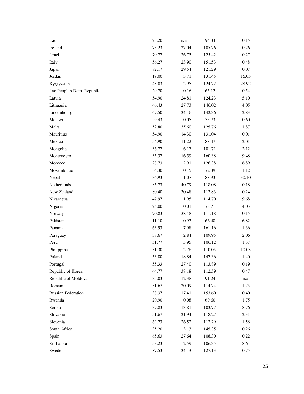| Iraq                       | 23.20 | n/a      | 94.34  | 0.15  |
|----------------------------|-------|----------|--------|-------|
| Ireland                    | 75.23 | 27.04    | 105.76 | 0.26  |
| Israel                     | 70.77 | 26.75    | 125.42 | 0.27  |
| Italy                      | 56.27 | 23.90    | 151.53 | 0.48  |
| Japan                      | 82.17 | 29.54    | 121.29 | 0.07  |
| Jordan                     | 19.00 | 3.71     | 131.45 | 16.05 |
| Kyrgyzstan                 | 48.03 | 2.95     | 124.72 | 28.92 |
| Lao People's Dem. Republic | 29.70 | 0.16     | 65.12  | 0.54  |
| Latvia                     | 54.90 | 24.81    | 124.23 | 5.10  |
| Lithuania                  | 46.43 | 27.73    | 146.02 | 4.05  |
| Luxembourg                 | 69.50 | 34.46    | 142.36 | 2.83  |
| Malawi                     | 9.43  | 0.05     | 35.73  | 0.60  |
| Malta                      | 52.80 | 35.60    | 125.76 | 1.87  |
| Mauritius                  | 54.90 | 14.30    | 131.04 | 0.01  |
| Mexico                     | 54.90 | 11.22    | 88.47  | 2.01  |
| Mongolia                   | 36.77 | 6.17     | 101.71 | 2.12  |
| Montenegro                 | 35.37 | 16.59    | 160.38 | 9.48  |
| Morocco                    | 28.73 | 2.91     | 126.38 | 6.89  |
| Mozambique                 | 4.30  | 0.15     | 72.39  | 1.12  |
| Nepal                      | 36.93 | 1.07     | 88.93  | 30.10 |
| Netherlands                | 85.73 | 40.79    | 118.08 | 0.18  |
| New Zealand                | 80.40 | 30.48    | 112.83 | 0.24  |
| Nicaragua                  | 47.97 | 1.95     | 114.70 | 9.68  |
| Nigeria                    | 25.00 | 0.01     | 78.71  | 4.03  |
| Norway                     | 90.83 | 38.48    | 111.18 | 0.15  |
| Pakistan                   | 11.10 | 0.93     | 66.48  | 6.82  |
| Panama                     | 63.93 | 7.98     | 161.16 | 1.36  |
| Paraguay                   | 38.67 | 2.84     | 109.95 | 2.06  |
| Peru                       | 51.77 | 5.95     | 106.12 | 1.37  |
| Philippines                | 51.30 | 2.78     | 110.05 | 10.03 |
| Poland                     | 53.80 | 18.84    | 147.36 | 1.40  |
| Portugal                   | 55.33 | 27.40    | 113.89 | 0.19  |
| Republic of Korea          | 44.77 | 38.18    | 112.59 | 0.47  |
| Republic of Moldova        | 35.03 | 12.38    | 91.24  | n/a   |
| Romania                    | 51.67 | 20.09    | 114.74 | 1.75  |
| Russian Federation         | 38.37 | 17.41    | 153.60 | 0.40  |
| Rwanda                     | 20.90 | $0.08\,$ | 69.60  | 1.75  |
| Serbia                     | 39.83 | 13.81    | 103.77 | 8.76  |
| Slovakia                   | 51.67 | 21.94    | 118.27 | 2.31  |
| Slovenia                   | 63.73 | 26.52    | 112.29 | 1.58  |
| South Africa               | 35.20 | 3.13     | 145.35 | 0.26  |
| Spain                      | 65.63 | 27.64    | 108.30 | 0.22  |
| Sri Lanka                  | 53.23 | 2.59     | 106.35 | 8.64  |
| Sweden                     | 87.53 | 34.13    | 127.13 | 0.75  |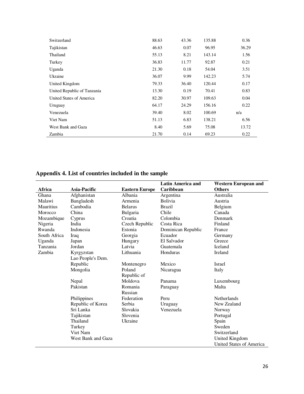| Switzerland                 | 88.63 | 43.36 | 135.88 | 0.36  |
|-----------------------------|-------|-------|--------|-------|
| Tajikistan                  | 46.63 | 0.07  | 96.95  | 36.29 |
| Thailand                    | 55.13 | 8.21  | 143.14 | 1.56  |
| Turkey                      | 36.83 | 11.77 | 92.87  | 0.21  |
| Uganda                      | 21.30 | 0.18  | 54.04  | 3.51  |
| Ukraine                     | 36.07 | 9.99  | 142.23 | 5.74  |
| United Kingdom              | 79.33 | 36.40 | 120.44 | 0.17  |
| United Republic of Tanzania | 13.30 | 0.19  | 70.41  | 0.83  |
| United States of America    | 82.20 | 30.97 | 109.63 | 0.04  |
| Uruguay                     | 64.17 | 24.29 | 156.16 | 0.22  |
| Venezuela                   | 39.40 | 8.02  | 100.69 | n/a   |
| Viet Nam                    | 51.13 | 6.83  | 138.21 | 6.56  |
| West Bank and Gaza          | 8.40  | 5.69  | 75.08  | 13.72 |
| Zambia                      | 21.70 | 0.14  | 69.23  | 0.22  |
|                             |       |       |        |       |

# **Appendix 4. List of countries included in the sample**

|                  |                    |                       | <b>Latin America and</b> | <b>Western European and</b>     |
|------------------|--------------------|-----------------------|--------------------------|---------------------------------|
| Africa           | Asia-Pacific       | <b>Eastern Europe</b> | Caribbean                | <b>Others</b>                   |
| Ghana            | Afghanistan        | Albania               | Argentina                | Australia                       |
| Malawi           | Bangladesh         | Armenia               | Bolivia                  | Austria                         |
| <b>Mauritius</b> | Cambodia           | <b>Belarus</b>        | <b>Brazil</b>            | Belgium                         |
| Morocco          | China              | Bulgaria              | Chile                    | Canada                          |
| Mozambique       | Cyprus             | Croatia               | Colombia                 | Denmark                         |
| Nigeria          | India              | Czech Republic        | Costa Rica               | Finland                         |
| Rwanda           | Indonesia          | Estonia               | Dominican Republic       | France                          |
| South Africa     | Iraq               | Georgia               | Ecuador                  | Germany                         |
| Uganda           | Japan              | Hungary               | El Salvador              | Greece                          |
| Tanzania         | Jordan             | Latvia                | Guatemala                | Iceland                         |
| Zambia           | Kyrgyzstan         | Lithuania             | Honduras                 | Ireland                         |
|                  | Lao People's Dem.  |                       |                          |                                 |
|                  | Republic           | Montenegro            | Mexico                   | <b>Israel</b>                   |
|                  | Mongolia           | Poland                | Nicaragua                | Italy                           |
|                  |                    | Republic of           |                          |                                 |
|                  | Nepal              | Moldova               | Panama                   | Luxembourg                      |
|                  | Pakistan           | Romania               | Paraguay                 | Malta                           |
|                  |                    | Russian               |                          |                                 |
|                  | Philippines        | Federation            | Peru                     | <b>Netherlands</b>              |
|                  | Republic of Korea  | Serbia                | Uruguay                  | New Zealand                     |
|                  | Sri Lanka          | Slovakia              | Venezuela                | Norway                          |
|                  | Tajikistan         | Slovenia              |                          | Portugal                        |
|                  | Thailand           | Ukraine               |                          | Spain                           |
|                  | Turkey             |                       |                          | Sweden                          |
|                  | Viet Nam           |                       |                          | Switzerland                     |
|                  | West Bank and Gaza |                       |                          | United Kingdom                  |
|                  |                    |                       |                          | <b>United States of America</b> |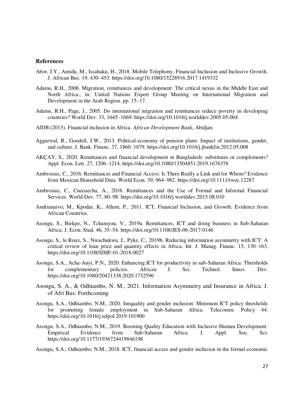#### **References**

- Abor, J.Y., Amidu, M., Issahaku, H., 2018. Mobile Telephony, Financial Inclusion and Inclusive Growth. J. African Bus. 19, 430–453. https://doi.org/10.1080/15228916.2017.1419332
- Adams, R.H., 2006. Migration, remittances and development: The critical nexus in the Middle East and North Africa., in: United Nations Expert Group Meeting on International Migration and Development in the Arab Region. pp. 15–17.
- Adams, R.H., Page, J., 2005. Do international migration and remittances reduce poverty in developing countries? World Dev. 33, 1645–1669. https://doi.org/10.1016/j.worlddev.2005.05.004
- AfDB (2013). Financial inclusion in Africa. *African Development Bank*, Abidjan.
- Aggarwal, R., Goodell, J.W., 2013. Political-economy of pension plans: Impact of institutions, gender, and culture. J. Bank. Financ. 37, 1860–1879. https://doi.org/10.1016/j.jbankfin.2012.05.008
- AKÇAY, S., 2020. Remittances and financial development in Bangladesh: substitutes or complements? Appl. Econ. Lett. 27, 1206–1214. https://doi.org/10.1080/13504851.2019.1676376
- Ambrosius, C., 2016. Remittances and Financial Access: Is There Really a Link and for Whom? Evidence from Mexican Household Data. World Econ. 39, 964–982. https://doi.org/10.1111/twec.12287
- Ambrosius, C., Cuecuecha, A., 2016. Remittances and the Use of Formal and Informal Financial Services. World Dev. 77, 80–98. https://doi.org/10.1016/j.worlddev.2015.08.010
- Andrianaivo, M., Kpodar, K., Allum, P., 2011. ICT, Financial Inclusion, and Growth: Evidence from African Countries.
- Asongu, S., Biekpe, N., Tchamyou, V., 2019a. Remittances, ICT and doing business in Sub-Saharan Africa. J. Econ. Stud. 46, 35–54. https://doi.org/10.1108/JES-06-2017-0146
- Asongu, S., le Roux, S., Nwachukwu, J., Pyke, C., 2019b. Reducing information asymmetry with ICT: A critical review of loan price and quantity effects in Africa. Int. J. Manag. Financ. 15, 130–163. https://doi.org/10.1108/IJMF-01-2018-0027
- Asongu, S.A., Acha-Anyi, P.N., 2020. Enhancing ICT for productivity in sub-Saharan Africa: Thresholds for complementary policies. African J. Sci. Technol. Innov. Dev. https://doi.org/10.1080/20421338.2020.1732596
- Asongu, S. A., & Odhiambo, N. M., 2021. Information Asymmetry and Insurance in Africa. J. of Afri Bus: Forthcoming
- Asongu, S.A., Odhiambo, N.M., 2020. Inequality and gender inclusion: Minimum ICT policy thresholds for promoting female employment in Sub-Saharan Africa. Telecomm. Policy 44. https://doi.org/10.1016/j.telpol.2019.101900
- Asongu, S.A., Odhiambo, N.M., 2019. Boosting Quality Education with Inclusive Human Development: Empirical Evidence from Sub-Saharan Africa. J. Appl. Soc. Sci. https://doi.org/10.1177/1936724419846198
- Asongu, S.A., Odhiambo, N.M., 2018. ICT, financial access and gender inclusion in the formal economic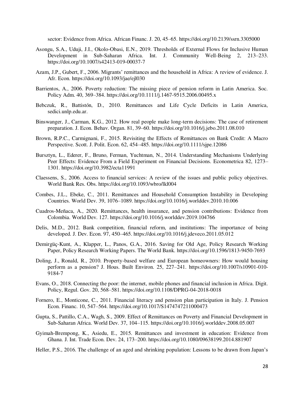sector: Evidence from Africa. African Financ. J. 20, 45–65. https://doi.org/10.2139/ssrn.3305000

- Asongu, S.A., Uduji, J.I., Okolo-Obasi, E.N., 2019. Thresholds of External Flows for Inclusive Human Development in Sub-Saharan Africa. Int. J. Community Well-Being 2, 213–233. https://doi.org/10.1007/s42413-019-00037-7
- Azam, J.P., Gubert, F., 2006. Migrants' remittances and the household in Africa: A review of evidence. J. Afr. Econ. https://doi.org/10.1093/jae/ejl030
- Barrientos, A., 2006. Poverty reduction: The missing piece of pension reform in Latin America. Soc. Policy Adm. 40, 369–384. https://doi.org/10.1111/j.1467-9515.2006.00495.x
- Bebczuk, R., Battistón, D., 2010. Remittances and Life Cycle Deficits in Latin America, sedici.unlp.edu.ar.
- Binswanger, J., Carman, K.G., 2012. How real people make long-term decisions: The case of retirement preparation. J. Econ. Behav. Organ. 81, 39–60. https://doi.org/10.1016/j.jebo.2011.08.010
- Brown, R.P.C., Carmignani, F., 2015. Revisiting the Effects of Remittances on Bank Credit: A Macro Perspective. Scott. J. Polit. Econ. 62, 454–485. https://doi.org/10.1111/sjpe.12086
- Bursztyn, L., Ederer, F., Bruno, Ferman, Yuchtman, N., 2014. Understanding Mechanisms Underlying Peer Effects: Evidence From a Field Experiment on Financial Decisions. Econometrica 82, 1273– 1301. https://doi.org/10.3982/ecta11991
- Claessens, S., 2006. Access to financial services: A review of the issues and public policy objectives. World Bank Res. Obs. https://doi.org/10.1093/wbro/lkl004
- Combes, J.L., Ebeke, C., 2011. Remittances and Household Consumption Instability in Developing Countries. World Dev. 39, 1076–1089. https://doi.org/10.1016/j.worlddev.2010.10.006
- Cuadros-Meñaca, A., 2020. Remittances, health insurance, and pension contributions: Evidence from Colombia. World Dev. 127. https://doi.org/10.1016/j.worlddev.2019.104766
- Delis, M.D., 2012. Bank competition, financial reform, and institutions: The importance of being developed. J. Dev. Econ. 97, 450–465. https://doi.org/10.1016/j.jdeveco.2011.05.012
- Demirgüç-Kunt, A., Klapper, L., Panos, G.A., 2016. Saving for Old Age, Policy Research Working Paper, Policy Research Working Papers. The World Bank. https://doi.org/10.1596/1813-9450-7693
- Doling, J., Ronald, R., 2010. Property-based welfare and European homeowners: How would housing perform as a pension? J. Hous. Built Environ. 25, 227–241. https://doi.org/10.1007/s10901-010- 9184-7
- Evans, O., 2018. Connecting the poor: the internet, mobile phones and financial inclusion in Africa. Digit. Policy, Regul. Gov. 20, 568–581. https://doi.org/10.1108/DPRG-04-2018-0018
- Fornero, E., Monticone, C., 2011. Financial literacy and pension plan participation in Italy. J. Pension Econ. Financ. 10, 547–564. https://doi.org/10.1017/S1474747211000473
- Gupta, S., Pattillo, C.A., Wagh, S., 2009. Effect of Remittances on Poverty and Financial Development in Sub-Saharan Africa. World Dev. 37, 104–115. https://doi.org/10.1016/j.worlddev.2008.05.007
- Gyimah-Brempong, K., Asiedu, E., 2015. Remittances and investment in education: Evidence from Ghana. J. Int. Trade Econ. Dev. 24, 173–200. https://doi.org/10.1080/09638199.2014.881907
- Heller, P.S., 2016. The challenge of an aged and shrinking population: Lessons to be drawn from Japan's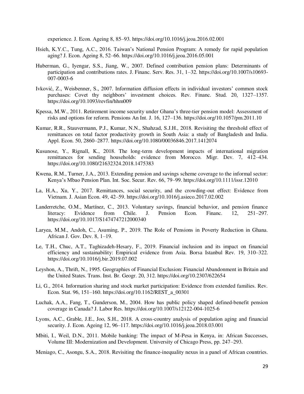experience. J. Econ. Ageing 8, 85–93. https://doi.org/10.1016/j.jeoa.2016.02.001

- Hsieh, K.Y.C., Tung, A.C., 2016. Taiwan's National Pension Program: A remedy for rapid population aging? J. Econ. Ageing 8, 52–66. https://doi.org/10.1016/j.jeoa.2016.05.001
- Huberman, G., Iyengar, S.S., Jiang, W., 2007. Defined contribution pension plans: Determinants of participation and contributions rates. J. Financ. Serv. Res. 31, 1–32. https://doi.org/10.1007/s10693- 007-0003-6
- Ivković, Z., Weisbenner, S., 2007. Information diffusion effects in individual investors' common stock purchases: Covet thy neighbors' investment choices. Rev. Financ. Stud. 20, 1327–1357. https://doi.org/10.1093/revfin/hhm009
- Kpessa, M.W., 2011. Retirement income security under Ghana's three-tier pension model: Assessment of risks and options for reform. Pensions An Int. J. 16, 127–136. https://doi.org/10.1057/pm.2011.10
- Kumar, R.R., Stauvermann, P.J., Kumar, N.N., Shahzad, S.J.H., 2018. Revisiting the threshold effect of remittances on total factor productivity growth in South Asia: a study of Bangladesh and India. Appl. Econ. 50, 2860–2877. https://doi.org/10.1080/00036846.2017.1412074
- Kusunose, Y., Rignall, K., 2018. The long-term development impacts of international migration remittances for sending households: evidence from Morocco. Migr. Dev. 7, 412–434. https://doi.org/10.1080/21632324.2018.1475383
- Kwena, R.M., Turner, J.A., 2013. Extending pension and savings scheme coverage to the informal sector: Kenya's Mbao Pension Plan. Int. Soc. Secur. Rev. 66, 79–99. https://doi.org/10.1111/issr.12010
- La, H.A., Xu, Y., 2017. Remittances, social security, and the crowding-out effect: Evidence from Vietnam. J. Asian Econ. 49, 42–59. https://doi.org/10.1016/j.asieco.2017.02.002
- Landerretche, O.M., Martínez, C., 2013. Voluntary savings, financial behavior, and pension finance literacy: Evidence from Chile. J. Pension Econ. Financ. 12, 251–297. literacy: Evidence from Chile. J. Pension Econ. Financ. 12, 251–297. https://doi.org/10.1017/S1474747212000340
- Laryea, M.M., Andoh, C., Asuming, P., 2019. The Role of Pensions in Poverty Reduction in Ghana. African J. Gov. Dev. 8, 1–19.
- Le, T.H., Chuc, A.T., Taghizadeh-Hesary, F., 2019. Financial inclusion and its impact on financial efficiency and sustainability: Empirical evidence from Asia. Borsa Istanbul Rev. 19, 310–322. https://doi.org/10.1016/j.bir.2019.07.002
- Leyshon, A., Thrift, N., 1995. Geographies of Financial Exclusion: Financial Abandonment in Britain and the United States. Trans. Inst. Br. Geogr. 20, 312. https://doi.org/10.2307/622654
- Li, G., 2014. Information sharing and stock market participation: Evidence from extended families. Rev. Econ. Stat. 96, 151–160. https://doi.org/10.1162/REST\_a\_00301
- Luchak, A.A., Fang, T., Gunderson, M., 2004. How has public policy shaped defined-benefit pension coverage in Canada? J. Labor Res. https://doi.org/10.1007/s12122-004-1025-6
- Lyons, A.C., Grable, J.E., Joo, S.H., 2018. A cross-country analysis of population aging and financial security. J. Econ. Ageing 12, 96–117. https://doi.org/10.1016/j.jeoa.2018.03.001
- Mbiti, I., Weil, D.N., 2011. Mobile banking: The impact of M-Pesa in Kenya, in: African Successes, Volume III: Modernization and Development. University of Chicago Press, pp. 247–293.
- Meniago, C., Asongu, S.A., 2018. Revisiting the finance-inequality nexus in a panel of African countries.